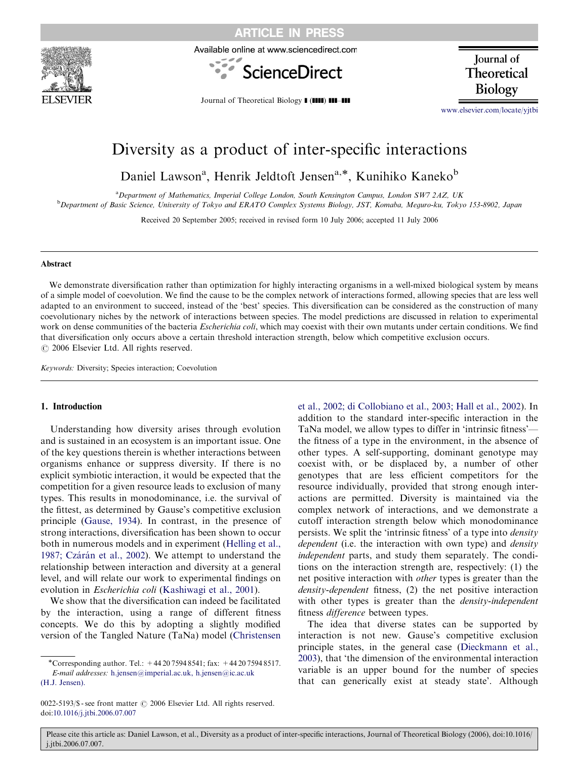

ARTICLE IN PRESS

Available online at www.sciencedirect.com



**Journal** of Theoretical **Biology** 

Journal of Theoretical Biology **I (IIII) III-III** 

<www.elsevier.com/locate/yjtbi>

# Diversity as a product of inter-specific interactions

Daniel Lawson<sup>a</sup>, Henrik Jeldtoft Jensen<sup>a,\*</sup>, Kunihiko Kaneko<sup>b</sup>

a Department of Mathematics, Imperial College London, South Kensington Campus, London SW7 2AZ, UK **b** Department of Basic Science, University of Tokyo and ERATO Complex Systems Biology, JST, Komaba, Meguro-ku, Tokyo 153-8902, Japan

Received 20 September 2005; received in revised form 10 July 2006; accepted 11 July 2006

#### Abstract

We demonstrate diversification rather than optimization for highly interacting organisms in a well-mixed biological system by means of a simple model of coevolution. We find the cause to be the complex network of interactions formed, allowing species that are less well adapted to an environment to succeed, instead of the 'best' species. This diversification can be considered as the construction of many coevolutionary niches by the network of interactions between species. The model predictions are discussed in relation to experimental work on dense communities of the bacteria *Escherichia coli*, which may coexist with their own mutants under certain conditions. We find that diversification only occurs above a certain threshold interaction strength, below which competitive exclusion occurs.  $C$  2006 Elsevier Ltd. All rights reserved.

Keywords: Diversity; Species interaction; Coevolution

#### 1. Introduction

Understanding how diversity arises through evolution and is sustained in an ecosystem is an important issue. One of the key questions therein is whether interactions between organisms enhance or suppress diversity. If there is no explicit symbiotic interaction, it would be expected that the competition for a given resource leads to exclusion of many types. This results in monodominance, i.e. the survival of the fittest, as determined by Gause's competitive exclusion principle [\(Gause, 1934](#page-7-0)). In contrast, in the presence of strong interactions, diversification has been shown to occur both in numerous models and in experiment [\(Helling et al.,](#page-7-0) 1987; Czárán et al., 2002). We attempt to understand the relationship between interaction and diversity at a general level, and will relate our work to experimental findings on evolution in Escherichia coli [\(Kashiwagi et al., 2001\)](#page-8-0).

We show that the diversification can indeed be facilitated by the interaction, using a range of different fitness concepts. We do this by adopting a slightly modified version of the Tangled Nature (TaNa) model ([Christensen](#page-7-0)

[et al., 2002; di Collobiano et al., 2003; Hall et al., 2002](#page-7-0)). In addition to the standard inter-specific interaction in the TaNa model, we allow types to differ in 'intrinsic fitness' the fitness of a type in the environment, in the absence of other types. A self-supporting, dominant genotype may coexist with, or be displaced by, a number of other genotypes that are less efficient competitors for the resource individually, provided that strong enough interactions are permitted. Diversity is maintained via the complex network of interactions, and we demonstrate a cutoff interaction strength below which monodominance persists. We split the 'intrinsic fitness' of a type into density dependent (i.e. the interaction with own type) and *density* independent parts, and study them separately. The conditions on the interaction strength are, respectively: (1) the net positive interaction with other types is greater than the density-dependent fitness, (2) the net positive interaction with other types is greater than the *density-independent* fitness difference between types.

The idea that diverse states can be supported by interaction is not new. Gause's competitive exclusion principle states, in the general case [\(Dieckmann et al.,](#page-7-0) [2003](#page-7-0)), that 'the dimension of the environmental interaction variable is an upper bound for the number of species that can generically exist at steady state'. Although

Please cite this article as: Daniel Lawson, et al., Diversity as a product of inter-specific interactions, Journal of Theoretical Biology (2006), doi:10.1016/ j.jtbi.2006.07.007.

<sup>\*</sup>Corresponding author. Tel.:  $+442075948541$ ; fax:  $+442075948517$ . E-mail addresses: [h.jensen@imperial.ac.uk, h.jensen@ic.ac.uk](mailto:h.jensen@imperial.ac.uk,) [\(H.J. Jensen\).](mailto:h.jensen@imperial.ac.uk,)

<sup>0022-5193/\$ -</sup> see front matter © 2006 Elsevier Ltd. All rights reserved. doi:[10.1016/j.jtbi.2006.07.007](dx.doi.org/10.1016/j.jtbi.2006.07.007)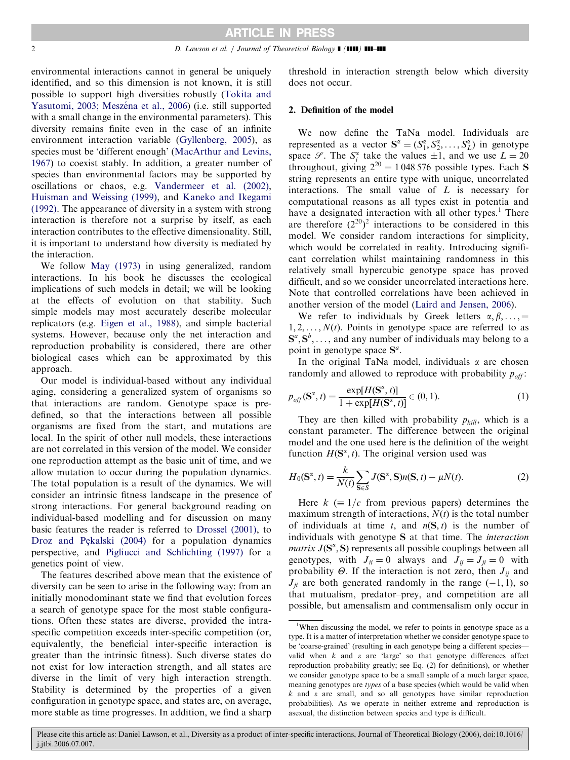environmental interactions cannot in general be uniquely identified, and so this dimension is not known, it is still possible to support high diversities robustly ([Tokita and](#page-8-0) Yasutomi, 2003; Meszéna et al., 2006) (i.e. still supported with a small change in the environmental parameters). This diversity remains finite even in the case of an infinite environment interaction variable [\(Gyllenberg, 2005](#page-7-0)), as species must be 'different enough' ([MacArthur and Levins,](#page-8-0) [1967\)](#page-8-0) to coexist stably. In addition, a greater number of species than environmental factors may be supported by oscillations or chaos, e.g. [Vandermeer et al. \(2002\)](#page-8-0), [Huisman and Weissing \(1999\)](#page-7-0), and [Kaneko and Ikegami](#page-7-0) [\(1992\)](#page-7-0). The appearance of diversity in a system with strong interaction is therefore not a surprise by itself, as each interaction contributes to the effective dimensionality. Still, it is important to understand how diversity is mediated by the interaction.

We follow [May \(1973\)](#page-8-0) in using generalized, random interactions. In his book he discusses the ecological implications of such models in detail; we will be looking at the effects of evolution on that stability. Such simple models may most accurately describe molecular replicators (e.g. [Eigen et al., 1988\)](#page-7-0), and simple bacterial systems. However, because only the net interaction and reproduction probability is considered, there are other biological cases which can be approximated by this approach.

Our model is individual-based without any individual aging, considering a generalized system of organisms so that interactions are random. Genotype space is predefined, so that the interactions between all possible organisms are fixed from the start, and mutations are local. In the spirit of other null models, these interactions are not correlated in this version of the model. We consider one reproduction attempt as the basic unit of time, and we allow mutation to occur during the population dynamics. The total population is a result of the dynamics. We will consider an intrinsic fitness landscape in the presence of strong interactions. For general background reading on individual-based modelling and for discussion on many basic features the reader is referred to [Drossel \(2001\)](#page-7-0), to [Droz and Pe](#page-7-0)[kalski \(2004\)](#page-7-0) for a population dynamics perspective, and [Pigliucci and Schlichting \(1997\)](#page-8-0) for a genetics point of view.

The features described above mean that the existence of diversity can be seen to arise in the following way: from an initially monodominant state we find that evolution forces a search of genotype space for the most stable configurations. Often these states are diverse, provided the intraspecific competition exceeds inter-specific competition (or, equivalently, the beneficial inter-specific interaction is greater than the intrinsic fitness). Such diverse states do not exist for low interaction strength, and all states are diverse in the limit of very high interaction strength. Stability is determined by the properties of a given configuration in genotype space, and states are, on average, more stable as time progresses. In addition, we find a sharp

threshold in interaction strength below which diversity does not occur.

## 2. Definition of the model

We now define the TaNa model. Individuals are represented as a vector  $S^{\alpha} = (S_1^{\alpha}, S_2^{\alpha}, \dots, S_L^{\alpha})$  in genotype space  $\mathscr{S}$ . The  $S_i^{\alpha}$  take the values  $\pm 1$ , and we use  $L = 20$ throughout, giving  $2^{20} = 1048576$  possible types. Each S string represents an entire type with unique, uncorrelated interactions. The small value of  $L$  is necessary for computational reasons as all types exist in potentia and have a designated interaction with all other types.<sup>1</sup> There are therefore  $(2^{20})^2$  interactions to be considered in this model. We consider random interactions for simplicity, which would be correlated in reality. Introducing significant correlation whilst maintaining randomness in this relatively small hypercubic genotype space has proved difficult, and so we consider uncorrelated interactions here. Note that controlled correlations have been achieved in another version of the model ([Laird and Jensen, 2006](#page-8-0)).

We refer to individuals by Greek letters  $\alpha, \beta, \ldots$ , =  $1, 2, \ldots, N(t)$ . Points in genotype space are referred to as  $S^a, S^b, \ldots$ , and any number of individuals may belong to a point in genotype space  $S^a$ .

In the original TaNa model, individuals  $\alpha$  are chosen randomly and allowed to reproduce with probability  $p_{off}$ :

$$
p_{off}(\mathbf{S}^{\alpha}, t) = \frac{\exp[H(\mathbf{S}^{\alpha}, t)]}{1 + \exp[H(\mathbf{S}^{\alpha}, t)]} \in (0, 1).
$$
 (1)

They are then killed with probability  $p_{kill}$ , which is a constant parameter. The difference between the original model and the one used here is the definition of the weight function  $H(\mathbf{S}^{\alpha}, t)$ . The original version used was

$$
H_0(\mathbf{S}^\alpha, t) = \frac{k}{N(t)} \sum_{\mathbf{S} \in S} J(\mathbf{S}^\alpha, \mathbf{S}) n(\mathbf{S}, t) - \mu N(t).
$$
 (2)

Here  $k \equiv 1/c$  from previous papers) determines the maximum strength of interactions,  $N(t)$  is the total number of individuals at time t, and  $n(S, t)$  is the number of individuals with genotype S at that time. The interaction matrix  $J(\mathbf{S}^{\alpha}, \mathbf{S})$  represents all possible couplings between all genotypes, with  $J_{ii} = 0$  always and  $J_{ij} = J_{ji} = 0$  with probability  $\Theta$ . If the interaction is not zero, then  $J_{ij}$  and  $J_{ii}$  are both generated randomly in the range  $(-1, 1)$ , so that mutualism, predator–prey, and competition are all possible, but amensalism and commensalism only occur in

Please cite this article as: Daniel Lawson, et al., Diversity as a product of inter-specific interactions, Journal of Theoretical Biology (2006), doi:10.1016/ j.jtbi.2006.07.007.

<sup>&</sup>lt;sup>1</sup>When discussing the model, we refer to points in genotype space as a type. It is a matter of interpretation whether we consider genotype space to be 'coarse-grained' (resulting in each genotype being a different species valid when  $k$  and  $\varepsilon$  are 'large' so that genotype differences affect reproduction probability greatly; see Eq. (2) for definitions), or whether we consider genotype space to be a small sample of a much larger space, meaning genotypes are types of a base species (which would be valid when  $k$  and  $\varepsilon$  are small, and so all genotypes have similar reproduction probabilities). As we operate in neither extreme and reproduction is asexual, the distinction between species and type is difficult.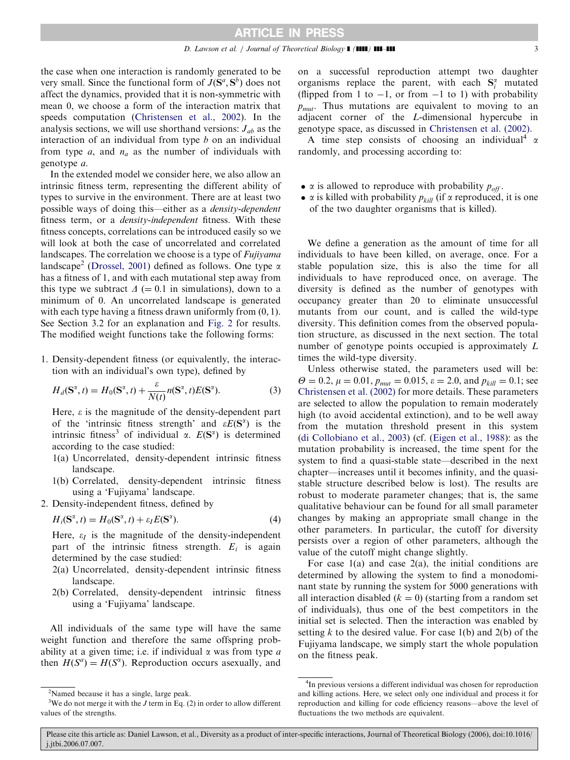the case when one interaction is randomly generated to be very small. Since the functional form of  $J(\mathbf{S}^a, \mathbf{S}^b)$  does not affect the dynamics, provided that it is non-symmetric with mean 0, we choose a form of the interaction matrix that speeds computation [\(Christensen et al., 2002\)](#page-7-0). In the analysis sections, we will use shorthand versions:  $J_{ab}$  as the interaction of an individual from type  $b$  on an individual from type a, and  $n_a$  as the number of individuals with genotype a.

In the extended model we consider here, we also allow an intrinsic fitness term, representing the different ability of types to survive in the environment. There are at least two possible ways of doing this—either as a density-dependent fitness term, or a *density-independent* fitness. With these fitness concepts, correlations can be introduced easily so we will look at both the case of uncorrelated and correlated landscapes. The correlation we choose is a type of *Fujiyama* landscape<sup>2</sup> [\(Drossel, 2001\)](#page-7-0) defined as follows. One type  $\alpha$ has a fitness of 1, and with each mutational step away from this type we subtract  $\Delta$  (= 0.1 in simulations), down to a minimum of 0. An uncorrelated landscape is generated with each type having a fitness drawn uniformly from  $(0, 1)$ . See Section 3.2 for an explanation and [Fig. 2](#page-4-0) for results. The modified weight functions take the following forms:

1. Density-dependent fitness (or equivalently, the interaction with an individual's own type), defined by

$$
H_d(\mathbf{S}^\alpha, t) = H_0(\mathbf{S}^\alpha, t) + \frac{\varepsilon}{N(t)} n(\mathbf{S}^\alpha, t) E(\mathbf{S}^\alpha).
$$
 (3)

Here,  $\varepsilon$  is the magnitude of the density-dependent part of the 'intrinsic fitness strength' and  $\varepsilon E(S^{\alpha})$  is the intrinsic fitness<sup>3</sup> of individual  $\alpha$ .  $E(S^{\alpha})$  is determined according to the case studied:

- 1(a) Uncorrelated, density-dependent intrinsic fitness landscape.
- 1(b) Correlated, density-dependent intrinsic fitness using a 'Fujiyama' landscape.
- 2. Density-independent fitness, defined by

$$
H_i(\mathbf{S}^\alpha, t) = H_0(\mathbf{S}^\alpha, t) + \varepsilon_I E(\mathbf{S}^\alpha). \tag{4}
$$

Here,  $\varepsilon_I$  is the magnitude of the density-independent part of the intrinsic fitness strength.  $E_i$  is again determined by the case studied:

- 2(a) Uncorrelated, density-dependent intrinsic fitness landscape.
- 2(b) Correlated, density-dependent intrinsic fitness using a 'Fujiyama' landscape.

All individuals of the same type will have the same weight function and therefore the same offspring probability at a given time; i.e. if individual  $\alpha$  was from type  $\alpha$ then  $H(S^a) = H(S^a)$ . Reproduction occurs asexually, and

on a successful reproduction attempt two daughter organisms replace the parent, with each  $S_i^{\alpha}$  mutated (flipped from 1 to  $-1$ , or from  $-1$  to 1) with probability  $p_{mut}$ . Thus mutations are equivalent to moving to an adjacent corner of the L-dimensional hypercube in genotype space, as discussed in [Christensen et al. \(2002\).](#page-7-0)

A time step consists of choosing an individual<sup>4</sup>  $\alpha$ randomly, and processing according to:

- $\alpha$  is allowed to reproduce with probability  $p_{off}$ .
- $\alpha$  is killed with probability  $p_{kill}$  (if  $\alpha$  reproduced, it is one of the two daughter organisms that is killed).

We define a generation as the amount of time for all individuals to have been killed, on average, once. For a stable population size, this is also the time for all individuals to have reproduced once, on average. The diversity is defined as the number of genotypes with occupancy greater than 20 to eliminate unsuccessful mutants from our count, and is called the wild-type diversity. This definition comes from the observed population structure, as discussed in the next section. The total number of genotype points occupied is approximately L times the wild-type diversity.

Unless otherwise stated, the parameters used will be:  $\Theta = 0.2$ ,  $\mu = 0.01$ ,  $p_{mut} = 0.015$ ,  $\varepsilon = 2.0$ , and  $p_{kill} = 0.1$ ; see [Christensen et al. \(2002\)](#page-7-0) for more details. These parameters are selected to allow the population to remain moderately high (to avoid accidental extinction), and to be well away from the mutation threshold present in this system ([di Collobiano et al., 2003](#page-7-0)) (cf. [\(Eigen et al., 1988\)](#page-7-0): as the mutation probability is increased, the time spent for the system to find a quasi-stable state—described in the next chapter—increases until it becomes infinity, and the quasistable structure described below is lost). The results are robust to moderate parameter changes; that is, the same qualitative behaviour can be found for all small parameter changes by making an appropriate small change in the other parameters. In particular, the cutoff for diversity persists over a region of other parameters, although the value of the cutoff might change slightly.

For case  $1(a)$  and case  $2(a)$ , the initial conditions are determined by allowing the system to find a monodominant state by running the system for 5000 generations with all interaction disabled  $(k = 0)$  (starting from a random set of individuals), thus one of the best competitors in the initial set is selected. Then the interaction was enabled by setting k to the desired value. For case  $1(b)$  and  $2(b)$  of the Fujiyama landscape, we simply start the whole population on the fitness peak.

<sup>&</sup>lt;sup>2</sup>Named because it has a single, large peak.

<sup>&</sup>lt;sup>3</sup>We do not merge it with the *J* term in Eq. (2) in order to allow different values of the strengths.

<sup>&</sup>lt;sup>4</sup>In previous versions a different individual was chosen for reproduction and killing actions. Here, we select only one individual and process it for reproduction and killing for code efficiency reasons—above the level of fluctuations the two methods are equivalent.

Please cite this article as: Daniel Lawson, et al., Diversity as a product of inter-specific interactions, Journal of Theoretical Biology (2006), doi:10.1016/ j.jtbi.2006.07.007.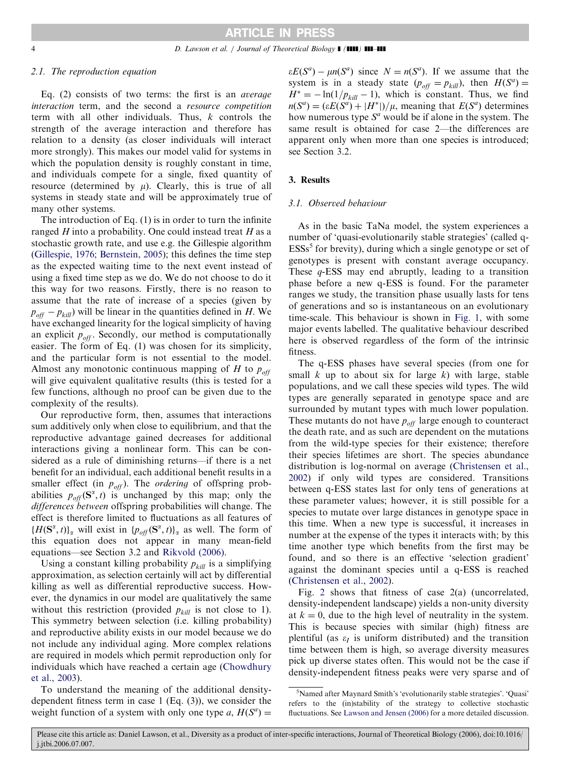#### 2.1. The reproduction equation

Eq. (2) consists of two terms: the first is an average interaction term, and the second a resource competition term with all other individuals. Thus, k controls the strength of the average interaction and therefore has relation to a density (as closer individuals will interact more strongly). This makes our model valid for systems in which the population density is roughly constant in time, and individuals compete for a single, fixed quantity of resource (determined by  $\mu$ ). Clearly, this is true of all systems in steady state and will be approximately true of many other systems.

The introduction of Eq. (1) is in order to turn the infinite ranged  $H$  into a probability. One could instead treat  $H$  as a stochastic growth rate, and use e.g. the Gillespie algorithm [\(Gillespie, 1976; Bernstein, 2005\)](#page-7-0); this defines the time step as the expected waiting time to the next event instead of using a fixed time step as we do. We do not choose to do it this way for two reasons. Firstly, there is no reason to assume that the rate of increase of a species (given by  $p_{off} - p_{kill}$ ) will be linear in the quantities defined in H. We have exchanged linearity for the logical simplicity of having an explicit  $p_{off}$ . Secondly, our method is computationally easier. The form of Eq. (1) was chosen for its simplicity, and the particular form is not essential to the model. Almost any monotonic continuous mapping of H to  $p_{\text{off}}$ will give equivalent qualitative results (this is tested for a few functions, although no proof can be given due to the complexity of the results).

Our reproductive form, then, assumes that interactions sum additively only when close to equilibrium, and that the reproductive advantage gained decreases for additional interactions giving a nonlinear form. This can be considered as a rule of diminishing returns—if there is a net benefit for an individual, each additional benefit results in a smaller effect (in  $p_{off}$ ). The *ordering* of offspring probabilities  $p_{off}(\mathbf{S}^{\alpha}, t)$  is unchanged by this map; only the differences between offspring probabilities will change. The effect is therefore limited to fluctuations as all features of  $\{H(\mathbf{S}^{\alpha}, t)\}_{\alpha}$  will exist in  $\{p_{off}(\mathbf{S}^{\alpha}, t)\}_{\alpha}$  as well. The form of this equation does not appear in many mean-field equations—see Section 3.2 and [Rikvold \(2006\)](#page-8-0).

Using a constant killing probability  $p_{kill}$  is a simplifying approximation, as selection certainly will act by differential killing as well as differential reproductive success. However, the dynamics in our model are qualitatively the same without this restriction (provided  $p_{kill}$  is not close to 1). This symmetry between selection (i.e. killing probability) and reproductive ability exists in our model because we do not include any individual aging. More complex relations are required in models which permit reproduction only for individuals which have reached a certain age [\(Chowdhury](#page-7-0) [et al., 2003](#page-7-0)).

To understand the meaning of the additional densitydependent fitness term in case 1 (Eq. (3)), we consider the weight function of a system with only one type a,  $H(S^a)$  =

 $\epsilon E(S^a) - \mu n(S^a)$  since  $N = n(S^a)$ . If we assume that the system is in a steady state  $(p_{off} = p_{kill})$ , then  $H(S^a) =$  $H^* = -\ln(1/p_{kill} - 1)$ , which is constant. Thus, we find  $n(S^a) = (\varepsilon E(S^a) + |H^*|)/\mu$ , meaning that  $E(S^a)$  determines how numerous type  $S^a$  would be if alone in the system. The same result is obtained for case 2—the differences are apparent only when more than one species is introduced; see Section 3.2.

#### 3. Results

#### 3.1. Observed behaviour

As in the basic TaNa model, the system experiences a number of 'quasi-evolutionarily stable strategies' (called q- $ESSs<sup>5</sup>$  for brevity), during which a single genotype or set of genotypes is present with constant average occupancy. These  $q$ -ESS may end abruptly, leading to a transition phase before a new q-ESS is found. For the parameter ranges we study, the transition phase usually lasts for tens of generations and so is instantaneous on an evolutionary time-scale. This behaviour is shown in [Fig. 1](#page-4-0), with some major events labelled. The qualitative behaviour described here is observed regardless of the form of the intrinsic fitness.

The q-ESS phases have several species (from one for small  $k$  up to about six for large  $k$ ) with large, stable populations, and we call these species wild types. The wild types are generally separated in genotype space and are surrounded by mutant types with much lower population. These mutants do not have  $p_{off}$  large enough to counteract the death rate, and as such are dependent on the mutations from the wild-type species for their existence; therefore their species lifetimes are short. The species abundance distribution is log-normal on average [\(Christensen et al.,](#page-7-0) [2002\)](#page-7-0) if only wild types are considered. Transitions between q-ESS states last for only tens of generations at these parameter values; however, it is still possible for a species to mutate over large distances in genotype space in this time. When a new type is successful, it increases in number at the expense of the types it interacts with; by this time another type which benefits from the first may be found, and so there is an effective 'selection gradient' against the dominant species until a q-ESS is reached [\(Christensen et al., 2002\)](#page-7-0).

Fig. [2](#page-4-0) shows that fitness of case 2(a) (uncorrelated, density-independent landscape) yields a non-unity diversity at  $k = 0$ , due to the high level of neutrality in the system. This is because species with similar (high) fitness are plentiful (as  $\varepsilon_l$  is uniform distributed) and the transition time between them is high, so average diversity measures pick up diverse states often. This would not be the case if density-independent fitness peaks were very sparse and of

<sup>5</sup> Named after Maynard Smith's 'evolutionarily stable strategies'. 'Quasi' refers to the (in)stability of the strategy to collective stochastic fluctuations. See [Lawson and Jensen \(2006\)](#page-8-0) for a more detailed discussion.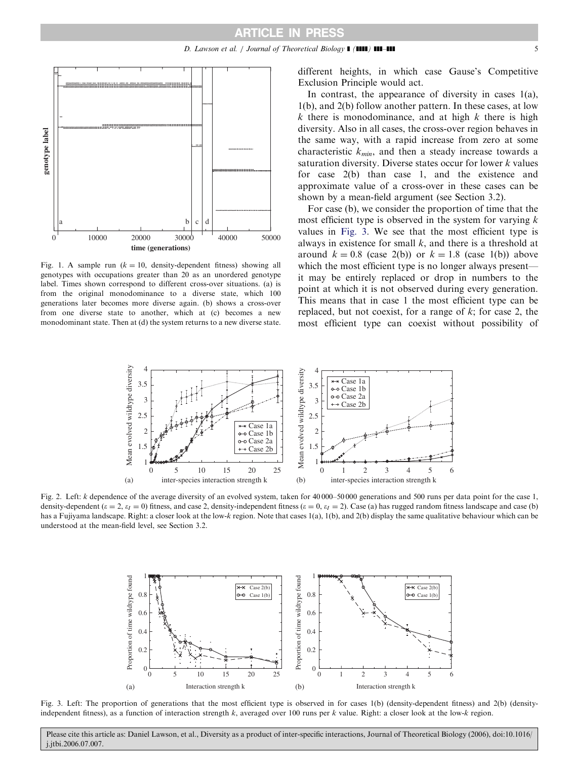<span id="page-4-0"></span>

Fig. 1. A sample run ( $k = 10$ , density-dependent fitness) showing all genotypes with occupations greater than 20 as an unordered genotype label. Times shown correspond to different cross-over situations. (a) is from the original monodominance to a diverse state, which 100 generations later becomes more diverse again. (b) shows a cross-over from one diverse state to another, which at (c) becomes a new monodominant state. Then at (d) the system returns to a new diverse state.

different heights, in which case Gause's Competitive Exclusion Principle would act.

In contrast, the appearance of diversity in cases 1(a), 1(b), and 2(b) follow another pattern. In these cases, at low  $k$  there is monodominance, and at high  $k$  there is high diversity. Also in all cases, the cross-over region behaves in the same way, with a rapid increase from zero at some characteristic  $k_{min}$ , and then a steady increase towards a saturation diversity. Diverse states occur for lower k values for case 2(b) than case 1, and the existence and approximate value of a cross-over in these cases can be shown by a mean-field argument (see Section 3.2).

For case (b), we consider the proportion of time that the most efficient type is observed in the system for varying  $k$ values in Fig. 3. We see that the most efficient type is always in existence for small  $k$ , and there is a threshold at around  $k = 0.8$  (case 2(b)) or  $k = 1.8$  (case 1(b)) above which the most efficient type is no longer always present it may be entirely replaced or drop in numbers to the point at which it is not observed during every generation. This means that in case 1 the most efficient type can be replaced, but not coexist, for a range of  $k$ ; for case 2, the most efficient type can coexist without possibility of



Fig. 2. Left: k dependence of the average diversity of an evolved system, taken for 40 000–50 000 generations and 500 runs per data point for the case 1, density-dependent ( $\varepsilon = 2$ ,  $\varepsilon_I = 0$ ) fitness, and case 2, density-independent fitness ( $\varepsilon = 0$ ,  $\varepsilon_I = 2$ ). Case (a) has rugged random fitness landscape and case (b) has a Fujiyama landscape. Right: a closer look at the low-k region. Note that cases 1(a), 1(b), and 2(b) display the same qualitative behaviour which can be understood at the mean-field level, see Section 3.2.



Fig. 3. Left: The proportion of generations that the most efficient type is observed in for cases 1(b) (density-dependent fitness) and 2(b) (densityindependent fitness), as a function of interaction strength k, averaged over 100 runs per k value. Right: a closer look at the low-k region.

Please cite this article as: Daniel Lawson, et al., Diversity as a product of inter-specific interactions, Journal of Theoretical Biology (2006), doi:10.1016/ j.jtbi.2006.07.007.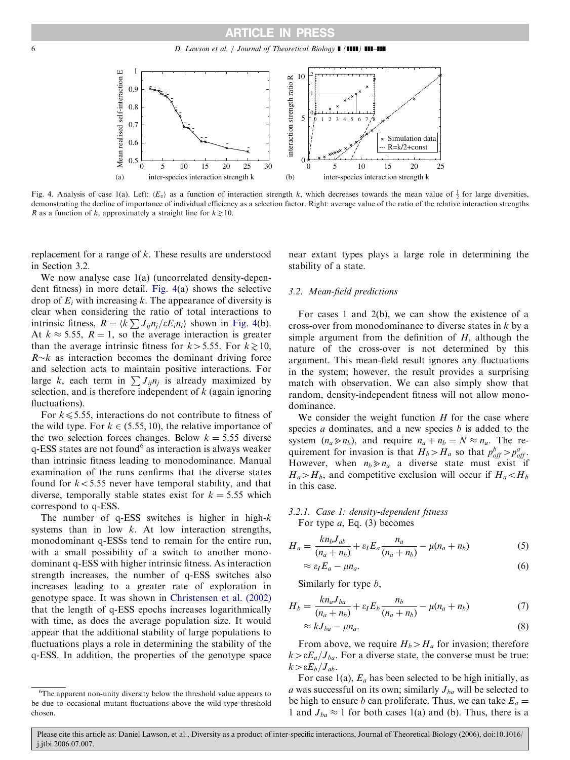

Fig. 4. Analysis of case 1(a). Left:  $\langle E_x \rangle$  as a function of interaction strength k, which decreases towards the mean value of  $\frac{1}{2}$  for large diversities, demonstrating the decline of importance of individual efficiency as a selection factor. Right: average value of the ratio of the relative interaction strengths R as a function of k, approximately a straight line for  $k \ge 10$ .

replacement for a range of k. These results are understood in Section 3.2.

We now analyse case 1(a) (uncorrelated density-dependent fitness) in more detail. Fig. 4(a) shows the selective drop of  $E_i$  with increasing k. The appearance of diversity is clear when considering the ratio of total interactions to intrinsic fitness,  $R = \langle k \sum J_{ij} n_j / \varepsilon E_i n_i \rangle$  shown in Fig. 4(b). At  $k \approx 5.55$ ,  $R = 1$ , so the average interaction is greater than the average intrinsic fitness for  $k>5.55$ . For  $k\ge10$ ,  $R \sim k$  as interaction becomes the dominant driving force and selection acts to maintain positive interactions. For large k, each term in  $\sum J_{ij}n_j$  is already maximized by selection, and is therefore independent of  $k$  (again ignoring fluctuations).

For  $k \leq 5.55$ , interactions do not contribute to fitness of the wild type. For  $k \in (5.55, 10)$ , the relative importance of the two selection forces changes. Below  $k = 5.55$  diverse  $q$ -ESS states are not found<sup>6</sup> as interaction is always weaker than intrinsic fitness leading to monodominance. Manual examination of the runs confirms that the diverse states found for  $k < 5.55$  never have temporal stability, and that diverse, temporally stable states exist for  $k = 5.55$  which correspond to q-ESS.

The number of  $q$ -ESS switches is higher in high- $k$ systems than in low  $k$ . At low interaction strengths, monodominant q-ESSs tend to remain for the entire run, with a small possibility of a switch to another monodominant q-ESS with higher intrinsic fitness. As interaction strength increases, the number of q-ESS switches also increases leading to a greater rate of exploration in genotype space. It was shown in [Christensen et al. \(2002\)](#page-7-0) that the length of q-ESS epochs increases logarithmically with time, as does the average population size. It would appear that the additional stability of large populations to fluctuations plays a role in determining the stability of the q-ESS. In addition, the properties of the genotype space near extant types plays a large role in determining the stability of a state.

### 3.2. Mean-field predictions

For cases 1 and 2(b), we can show the existence of a cross-over from monodominance to diverse states in k by a simple argument from the definition of  $H$ , although the nature of the cross-over is not determined by this argument. This mean-field result ignores any fluctuations in the system; however, the result provides a surprising match with observation. We can also simply show that random, density-independent fitness will not allow monodominance.

We consider the weight function  $H$  for the case where species  $a$  dominates, and a new species  $b$  is added to the system  $(n_a \gg n_b)$ , and require  $n_a + n_b = N \approx n_a$ . The requirement for invasion is that  $H_b > H_a$  so that  $p_{off}^b > p_{off}^a$ . However, when  $n_b \gg n_a$  a diverse state must exist if  $H_a > H_b$ , and competitive exclusion will occur if  $H_a < H_b$ in this case.

# 3.2.1. Case 1: density-dependent fitness For type  $a$ , Eq. (3) becomes

$$
H_a = \frac{k n_b J_{ab}}{(n_a + n_b)} + \varepsilon_l E_a \frac{n_a}{(n_a + n_b)} - \mu(n_a + n_b)
$$
 (5)

$$
\approx \varepsilon_I E_a - \mu n_a. \tag{6}
$$

Similarly for type b,

$$
H_b = \frac{k n_a J_{ba}}{(n_a + n_b)} + \varepsilon_l E_b \frac{n_b}{(n_a + n_b)} - \mu(n_a + n_b)
$$
(7)

$$
\approx kJ_{ba} - \mu n_a. \tag{8}
$$

From above, we require  $H_b > H_a$  for invasion; therefore  $k > \varepsilon E_a/J_{ba}$ . For a diverse state, the converse must be true:  $k > \varepsilon E_b/J_{ab}.$ 

For case 1(a),  $E_a$  has been selected to be high initially, as a was successful on its own; similarly  $J_{ba}$  will be selected to be high to ensure b can proliferate. Thus, we can take  $E_a =$ 1 and  $J_{ba} \approx 1$  for both cases 1(a) and (b). Thus, there is a

<sup>&</sup>lt;sup>6</sup>The apparent non-unity diversity below the threshold value appears to be due to occasional mutant fluctuations above the wild-type threshold chosen.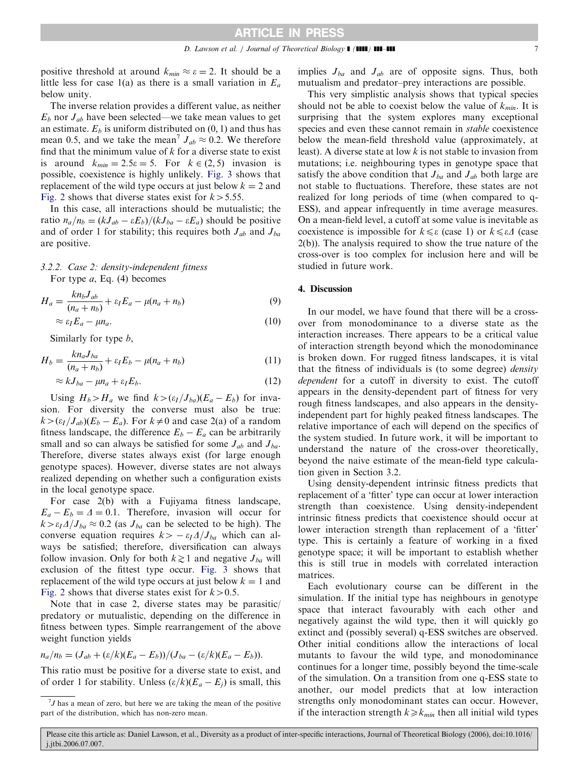positive threshold at around  $k_{min} \approx \varepsilon = 2$ . It should be a little less for case 1(a) as there is a small variation in  $E_a$ below unity.

The inverse relation provides a different value, as neither  $E_b$  nor  $J_{ab}$  have been selected—we take mean values to get an estimate.  $E_b$  is uniform distributed on  $(0, 1)$  and thus has mean 0.5, and we take the mean<sup>7</sup>  $J_{ab} \approx 0.2$ . We therefore find that the minimum value of  $k$  for a diverse state to exist is around  $k_{min} = 2.5\varepsilon = 5$ . For  $k \in (2, 5)$  invasion is possible, coexistence is highly unlikely. [Fig. 3](#page-4-0) shows that replacement of the wild type occurs at just below  $k = 2$  and [Fig. 2](#page-4-0) shows that diverse states exist for  $k > 5.55$ .

In this case, all interactions should be mutualistic; the ratio  $n_a/n_b = (kJ_{ab} - \varepsilon E_b)/(kJ_{ba} - \varepsilon E_a)$  should be positive and of order 1 for stability; this requires both  $J_{ab}$  and  $J_{ba}$ are positive.

# 3.2.2. Case 2: density-independent fitness

For type a, Eq. (4) becomes

$$
H_a = \frac{k n_b J_{ab}}{(n_a + n_b)} + \varepsilon_l E_a - \mu (n_a + n_b)
$$
\n(9)

$$
\approx \varepsilon_I E_a - \mu n_a. \tag{10}
$$

Similarly for type b,

$$
H_b = \frac{kn_aJ_{ba}}{(n_a+n_b)} + \varepsilon_l E_b - \mu(n_a+n_b)
$$
\n(11)

$$
\approx kJ_{ba} - \mu n_a + \varepsilon_I E_b. \tag{12}
$$

Using  $H_b > H_a$  we find  $k > (\varepsilon_I / J_{ba})(E_a - E_b)$  for invasion. For diversity the converse must also be true:  $k>(\epsilon_I/J_{ab})(E_b - E_a)$ . For  $k\neq 0$  and case 2(a) of a random fitness landscape, the difference  $E_b - E_a$  can be arbitrarily small and so can always be satisfied for some  $J_{ab}$  and  $J_{ba}$ . Therefore, diverse states always exist (for large enough genotype spaces). However, diverse states are not always realized depending on whether such a configuration exists in the local genotype space.

For case 2(b) with a Fujiyama fitness landscape,  $E_a - E_b = \Delta = 0.1$ . Therefore, invasion will occur for  $k > \varepsilon_I \Delta / J_{ba} \approx 0.2$  (as  $J_{ba}$  can be selected to be high). The converse equation requires  $k > -\varepsilon_{I}A/J_{ba}$  which can always be satisfied; therefore, diversification can always follow invasion. Only for both  $k\geq 1$  and negative  $J_{ba}$  will exclusion of the fittest type occur. [Fig. 3](#page-4-0) shows that replacement of the wild type occurs at just below  $k = 1$  and [Fig. 2](#page-4-0) shows that diverse states exist for  $k > 0.5$ .

Note that in case 2, diverse states may be parasitic/ predatory or mutualistic, depending on the difference in fitness between types. Simple rearrangement of the above weight function yields

$$
n_a/n_b = (J_{ab} + (\varepsilon/k)(E_a - E_b))/(J_{ba} - (\varepsilon/k)(E_a - E_b)).
$$

This ratio must be positive for a diverse state to exist, and of order 1 for stability. Unless  $(\varepsilon/k)(E_a - E_j)$  is small, this implies  $J_{ba}$  and  $J_{ab}$  are of opposite signs. Thus, both mutualism and predator–prey interactions are possible.

This very simplistic analysis shows that typical species should not be able to coexist below the value of  $k_{min}$ . It is surprising that the system explores many exceptional species and even these cannot remain in stable coexistence below the mean-field threshold value (approximately, at least). A diverse state at low k is not stable to invasion from mutations; i.e. neighbouring types in genotype space that satisfy the above condition that  $J_{ba}$  and  $J_{ab}$  both large are not stable to fluctuations. Therefore, these states are not realized for long periods of time (when compared to q-ESS), and appear infrequently in time average measures. On a mean-field level, a cutoff at some value is inevitable as coexistence is impossible for  $k \leq \varepsilon$  (case 1) or  $k \leq \varepsilon \Delta$  (case 2(b)). The analysis required to show the true nature of the cross-over is too complex for inclusion here and will be studied in future work.

## 4. Discussion

In our model, we have found that there will be a crossover from monodominance to a diverse state as the interaction increases. There appears to be a critical value of interaction strength beyond which the monodominance is broken down. For rugged fitness landscapes, it is vital that the fitness of individuals is (to some degree) density dependent for a cutoff in diversity to exist. The cutoff appears in the density-dependent part of fitness for very rough fitness landscapes, and also appears in the densityindependent part for highly peaked fitness landscapes. The relative importance of each will depend on the specifics of the system studied. In future work, it will be important to understand the nature of the cross-over theoretically, beyond the naive estimate of the mean-field type calculation given in Section 3.2.

Using density-dependent intrinsic fitness predicts that replacement of a 'fitter' type can occur at lower interaction strength than coexistence. Using density-independent intrinsic fitness predicts that coexistence should occur at lower interaction strength than replacement of a 'fitter' type. This is certainly a feature of working in a fixed genotype space; it will be important to establish whether this is still true in models with correlated interaction matrices.

Each evolutionary course can be different in the simulation. If the initial type has neighbours in genotype space that interact favourably with each other and negatively against the wild type, then it will quickly go extinct and (possibly several) q-ESS switches are observed. Other initial conditions allow the interactions of local mutants to favour the wild type, and monodominance continues for a longer time, possibly beyond the time-scale of the simulation. On a transition from one q-ESS state to another, our model predicts that at low interaction strengths only monodominant states can occur. However, if the interaction strength  $k \ge k_{min}$  then all initial wild types

 $7J$  has a mean of zero, but here we are taking the mean of the positive part of the distribution, which has non-zero mean.

Please cite this article as: Daniel Lawson, et al., Diversity as a product of inter-specific interactions, Journal of Theoretical Biology (2006), doi:10.1016/ j.jtbi.2006.07.007.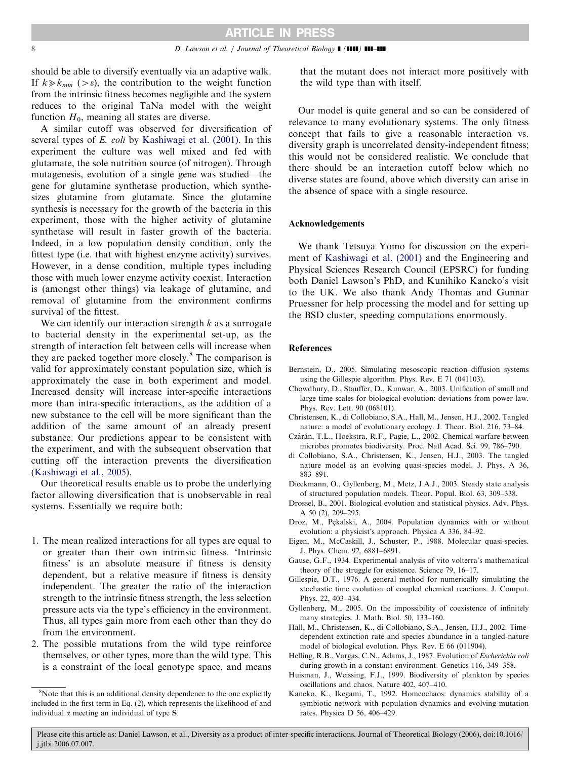<span id="page-7-0"></span>should be able to diversify eventually via an adaptive walk. If  $k \gg k_{min}$  ( $>\epsilon$ ), the contribution to the weight function from the intrinsic fitness becomes negligible and the system reduces to the original TaNa model with the weight function  $H_0$ , meaning all states are diverse.

A similar cutoff was observed for diversification of several types of E. coli by [Kashiwagi et al. \(2001\)](#page-8-0). In this experiment the culture was well mixed and fed with glutamate, the sole nutrition source (of nitrogen). Through mutagenesis, evolution of a single gene was studied—the gene for glutamine synthetase production, which synthesizes glutamine from glutamate. Since the glutamine synthesis is necessary for the growth of the bacteria in this experiment, those with the higher activity of glutamine synthetase will result in faster growth of the bacteria. Indeed, in a low population density condition, only the fittest type (i.e. that with highest enzyme activity) survives. However, in a dense condition, multiple types including those with much lower enzyme activity coexist. Interaction is (amongst other things) via leakage of glutamine, and removal of glutamine from the environment confirms survival of the fittest.

We can identify our interaction strength  $k$  as a surrogate to bacterial density in the experimental set-up, as the strength of interaction felt between cells will increase when they are packed together more closely.<sup>8</sup> The comparison is valid for approximately constant population size, which is approximately the case in both experiment and model. Increased density will increase inter-specific interactions more than intra-specific interactions, as the addition of a new substance to the cell will be more significant than the addition of the same amount of an already present substance. Our predictions appear to be consistent with the experiment, and with the subsequent observation that cutting off the interaction prevents the diversification [\(Kashiwagi et al., 2005\)](#page-8-0).

Our theoretical results enable us to probe the underlying factor allowing diversification that is unobservable in real systems. Essentially we require both:

- 1. The mean realized interactions for all types are equal to or greater than their own intrinsic fitness. 'Intrinsic fitness' is an absolute measure if fitness is density dependent, but a relative measure if fitness is density independent. The greater the ratio of the interaction strength to the intrinsic fitness strength, the less selection pressure acts via the type's efficiency in the environment. Thus, all types gain more from each other than they do from the environment.
- 2. The possible mutations from the wild type reinforce themselves, or other types, more than the wild type. This is a constraint of the local genotype space, and means

that the mutant does not interact more positively with the wild type than with itself.

Our model is quite general and so can be considered of relevance to many evolutionary systems. The only fitness concept that fails to give a reasonable interaction vs. diversity graph is uncorrelated density-independent fitness; this would not be considered realistic. We conclude that there should be an interaction cutoff below which no diverse states are found, above which diversity can arise in the absence of space with a single resource.

## Acknowledgements

We thank Tetsuya Yomo for discussion on the experiment of [Kashiwagi et al. \(2001\)](#page-8-0) and the Engineering and Physical Sciences Research Council (EPSRC) for funding both Daniel Lawson's PhD, and Kunihiko Kaneko's visit to the UK. We also thank Andy Thomas and Gunnar Pruessner for help processing the model and for setting up the BSD cluster, speeding computations enormously.

#### **References**

- Bernstein, D., 2005. Simulating mesoscopic reaction–diffusion systems using the Gillespie algorithm. Phys. Rev. E 71 (041103).
- Chowdhury, D., Stauffer, D., Kunwar, A., 2003. Unification of small and large time scales for biological evolution: deviations from power law. Phys. Rev. Lett. 90 (068101).
- Christensen, K., di Collobiano, S.A., Hall, M., Jensen, H.J., 2002. Tangled nature: a model of evolutionary ecology. J. Theor. Biol. 216, 73–84.
- Czárán, T.L., Hoekstra, R.F., Pagie, L., 2002. Chemical warfare between microbes promotes biodiversity. Proc. Natl Acad. Sci. 99, 786–790.
- di Collobiano, S.A., Christensen, K., Jensen, H.J., 2003. The tangled nature model as an evolving quasi-species model. J. Phys. A 36, 883–891.
- Dieckmann, O., Gyllenberg, M., Metz, J.A.J., 2003. Steady state analysis of structured population models. Theor. Popul. Biol. 63, 309–338.
- Drossel, B., 2001. Biological evolution and statistical physics. Adv. Phys. A 50 (2), 209–295.
- Droz, M., Pękalski, A., 2004. Population dynamics with or without evolution: a physicist's approach. Physica A 336, 84–92.
- Eigen, M., McCaskill, J., Schuster, P., 1988. Molecular quasi-species. J. Phys. Chem. 92, 6881–6891.
- Gause, G.F., 1934. Experimental analysis of vito volterra's mathematical theory of the struggle for existence. Science 79, 16–17.
- Gillespie, D.T., 1976. A general method for numerically simulating the stochastic time evolution of coupled chemical reactions. J. Comput. Phys. 22, 403–434.
- Gyllenberg, M., 2005. On the impossibility of coexistence of infinitely many strategies. J. Math. Biol. 50, 133–160.
- Hall, M., Christensen, K., di Collobiano, S.A., Jensen, H.J., 2002. Timedependent extinction rate and species abundance in a tangled-nature model of biological evolution. Phys. Rev. E 66 (011904).
- Helling, R.B., Vargas, C.N., Adams, J., 1987. Evolution of Escherichia coli during growth in a constant environment. Genetics 116, 349–358.
- Huisman, J., Weissing, F.J., 1999. Biodiversity of plankton by species oscillations and chaos. Nature 402, 407–410.
- Kaneko, K., Ikegami, T., 1992. Homeochaos: dynamics stability of a symbiotic network with population dynamics and evolving mutation rates. Physica D 56, 406–429.

<sup>&</sup>lt;sup>8</sup>Note that this is an additional density dependence to the one explicitly included in the first term in Eq. (2), which represents the likelihood of and individual  $\alpha$  meeting an individual of type **S**.

Please cite this article as: Daniel Lawson, et al., Diversity as a product of inter-specific interactions, Journal of Theoretical Biology (2006), doi:10.1016/ j.jtbi.2006.07.007.